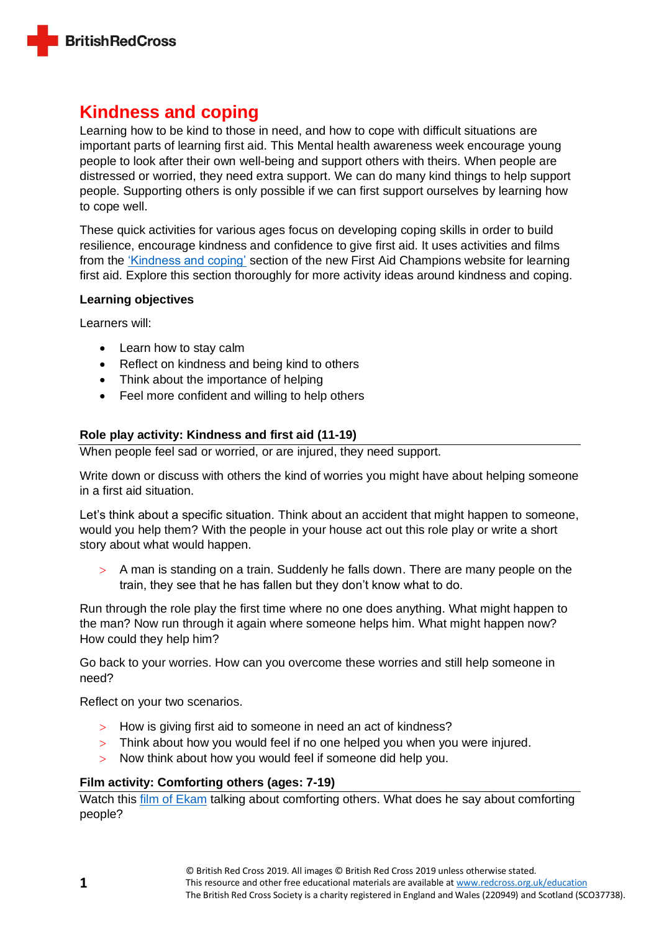

# **Kindness and coping**

Learning how to be kind to those in need, and how to cope with difficult situations are important parts of learning first aid. This Mental health awareness week encourage young people to look after their own well-being and support others with theirs. When people are distressed or worried, they need extra support. We can do many kind things to help support people. Supporting others is only possible if we can first support ourselves by learning how to cope well.

These quick activities for various ages focus on developing coping skills in order to build resilience, encourage kindness and confidence to give first aid. It uses activities and films from the ['Kindness and coping'](https://firstaidchampions.redcross.org.uk/primary/kindness-and-coping/) section of the new First Aid Champions website for learning first aid. Explore this section thoroughly for more activity ideas around kindness and coping.

## **Learning objectives**

Learners will:

- Learn how to stay calm
- Reflect on kindness and being kind to others
- Think about the importance of helping
- Feel more confident and willing to help others

## **Role play activity: Kindness and first aid (11-19)**

When people feel sad or worried, or are injured, they need support.

Write down or discuss with others the kind of worries you might have about helping someone in a first aid situation.

Let's think about a specific situation. Think about an accident that might happen to someone, would you help them? With the people in your house act out this role play or write a short story about what would happen.

 $>$  A man is standing on a train. Suddenly he falls down. There are many people on the train, they see that he has fallen but they don't know what to do.

Run through the role play the first time where no one does anything. What might happen to the man? Now run through it again where someone helps him. What might happen now? How could they help him?

Go back to your worries. How can you overcome these worries and still help someone in need?

Reflect on your two scenarios.

- > How is giving first aid to someone in need an act of kindness?
- > Think about how you would feel if no one helped you when you were injured.
- Now think about how you would feel if someone did help you.

## **Film activity: Comforting others (ages: 7-19)**

Watch this film [of Ekam](https://firstaidchampions.redcross.org.uk/primary/kindness-and-coping/emotions-and-comforting-others/) talking about comforting others. What does he say about comforting people?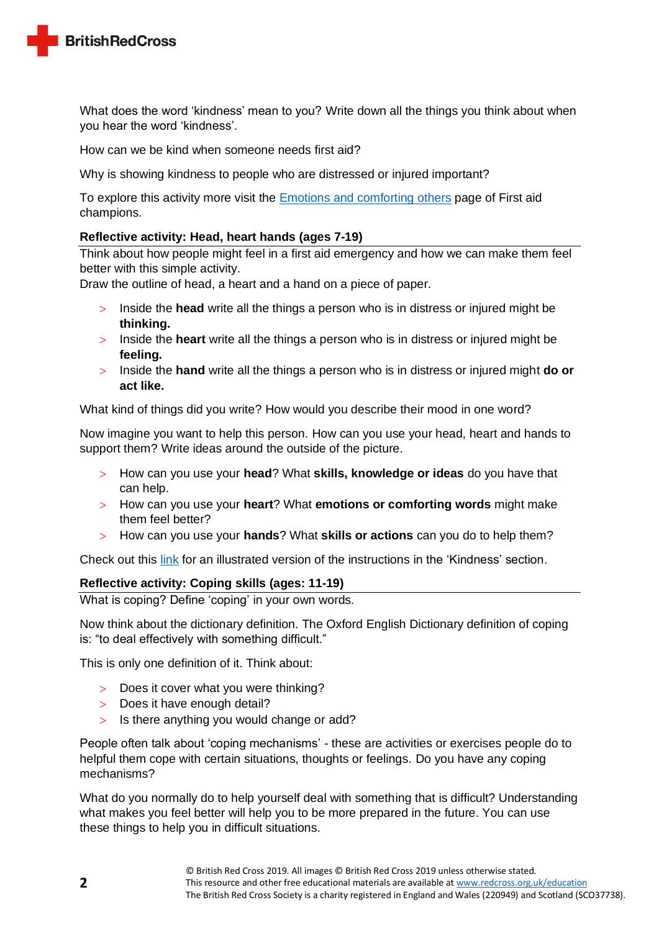

What does the word 'kindness' mean to you? Write down all the things you think about when you hear the word 'kindness'.

How can we be kind when someone needs first aid?

Why is showing kindness to people who are distressed or injured important?

To explore this activity more visit the [Emotions and comforting](https://firstaidchampions.redcross.org.uk/primary/kindness-and-coping/emotions-and-comforting-others/) others page of First aid champions.

#### **Reflective activity: Head, heart hands (ages 7-19)**

Think about how people might feel in a first aid emergency and how we can make them feel better with this simple activity.

Draw the outline of head, a heart and a hand on a piece of paper.

- Inside the **head** write all the things a person who is in distress or injured might be **thinking.**
- Inside the **heart** write all the things a person who is in distress or injured might be **feeling.**
- Inside the **hand** write all the things a person who is in distress or injured might **do or act like.**

What kind of things did you write? How would you describe their mood in one word?

Now imagine you want to help this person. How can you use your head, heart and hands to support them? Write ideas around the outside of the picture.

- How can you use your **head**? What **skills, knowledge or ideas** do you have that can help.
- How can you use your **heart**? What **emotions or comforting words** might make them feel better?
- How can you use your **hands**? What **skills or actions** can you do to help them?

Check out this [link](https://www.preparecenter.org/toolkit/kidskit/) for an illustrated version of the instructions in the 'Kindness' section.

## **Reflective activity: Coping skills (ages: 11-19)**

What is coping? Define 'coping' in your own words.

Now think about the dictionary definition. The Oxford English Dictionary definition of coping is: "to deal effectively with something difficult."

This is only one definition of it. Think about:

- Does it cover what you were thinking?
- > Does it have enough detail?
- $>$  Is there anything you would change or add?

People often talk about 'coping mechanisms' - these are activities or exercises people do to helpful them cope with certain situations, thoughts or feelings. Do you have any coping mechanisms?

What do you normally do to help yourself deal with something that is difficult? Understanding what makes you feel better will help you to be more prepared in the future. You can use these things to help you in difficult situations.